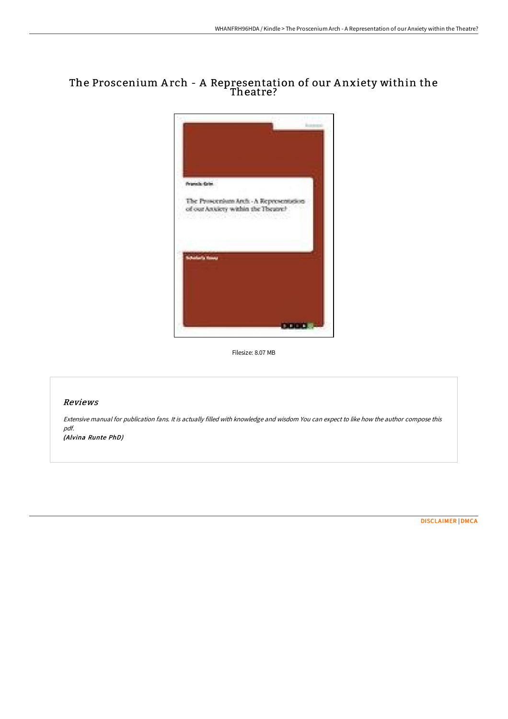# The Proscenium A rch - A Representation of our A nxiety within the Theatre?



Filesize: 8.07 MB

# Reviews

Extensive manual for publication fans. It is actually filled with knowledge and wisdom You can expect to like how the author compose this pdf.

(Alvina Runte PhD)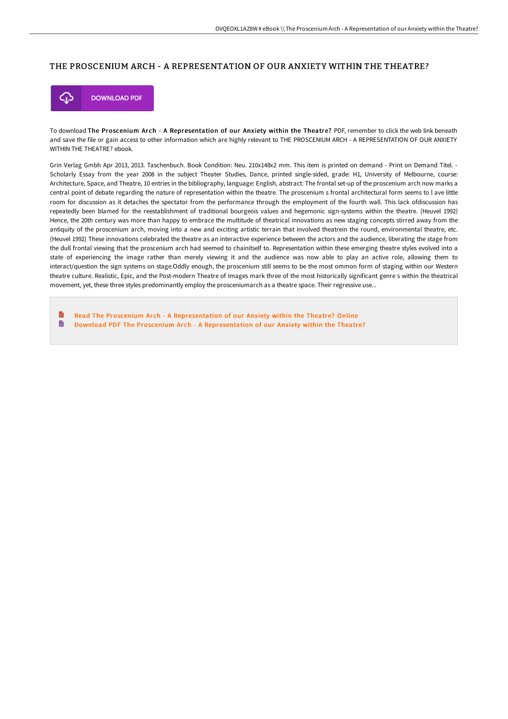### THE PROSCENIUM ARCH - A REPRESENTATION OF OUR ANXIETY WITHIN THE THEATRE?



To download The Proscenium Arch - A Representation of our Anxiety within the Theatre? PDF, remember to click the web link beneath and save the file or gain access to other information which are highly relevant to THE PROSCENIUM ARCH - A REPRESENTATION OF OUR ANXIETY WITHIN THE THEATRE? ebook.

Grin Verlag Gmbh Apr 2013, 2013. Taschenbuch. Book Condition: Neu. 210x148x2 mm. This item is printed on demand - Print on Demand Titel. - Scholarly Essay from the year 2008 in the subject Theater Studies, Dance, printed single-sided, grade: H1, University of Melbourne, course: Architecture, Space, and Theatre, 10 entries in the bibliography, language: English, abstract: The frontal set-up of the proscenium arch now marks a central point of debate regarding the nature of representation within the theatre. The proscenium s frontal architectural form seems to l ave little room for discussion as it detaches the spectator from the performance through the employment of the fourth wall. This lack ofdiscussion has repeatedly been blamed for the reestablishment of traditional bourgeois values and hegemonic sign-systems within the theatre. (Heuvel 1992) Hence, the 20th century was more than happy to embrace the multitude of theatrical innovations as new staging concepts stirred away from the antiquity of the proscenium arch, moving into a new and exciting artistic terrain that involved theatrein the round, environmental theatre, etc. (Heuvel 1992) These innovations celebrated the theatre as an interactive experience between the actors and the audience, liberating the stage from the dull frontal viewing that the proscenium arch had seemed to chainitself to. Representation within these emerging theatre styles evolved into a state of experiencing the image rather than merely viewing it and the audience was now able to play an active role, allowing them to interact/question the sign systems on stage.Oddly enough, the proscenium still seems to be the most ommon form of staging within our Western theatre culture. Realistic, Epic, and the Post-modern Theatre of Images mark three of the most historically significant genre s within the theatrical movement, yet, these three styles predominantly employ the prosceniumarch as a theatre space. Their regressive use...

h Read The Proscenium Arch - A [Representation](http://digilib.live/the-proscenium-arch-a-representation-of-our-anxi.html) of our Anxiety within the Theatre? Online  $\blacksquare$ Download PDF The Proscenium Arch - A [Representation](http://digilib.live/the-proscenium-arch-a-representation-of-our-anxi.html) of our Anxiety within the Theatre?